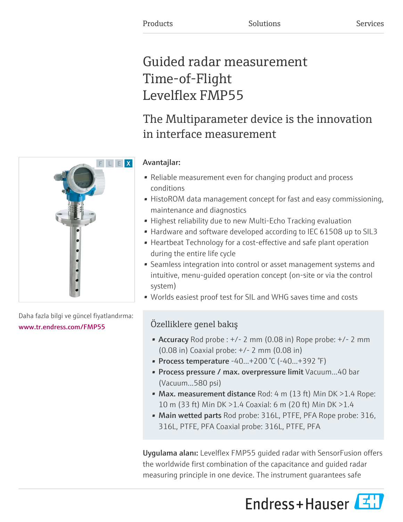# Guided radar measurement Time-of-Flight Levelflex FMP55

# The Multiparameter device is the innovation in interface measurement

### Avantajlar:

- Reliable measurement even for changing product and process conditions
- HistoROM data management concept for fast and easy commissioning, maintenance and diagnostics
- Highest reliability due to new Multi-Echo Tracking evaluation
- Hardware and software developed according to IEC 61508 up to SIL3
- Heartbeat Technology for a cost-effective and safe plant operation during the entire life cycle
- Seamless integration into control or asset management systems and intuitive, menu-guided operation concept (on-site or via the control system)
- Worlds easiest proof test for SIL and WHG saves time and costs

## Özelliklere genel bakış

- Accuracy Rod probe :  $+/- 2$  mm (0.08 in) Rope probe:  $+/- 2$  mm (0.08 in) Coaxial probe: +/- 2 mm (0.08 in)
- Process temperature -40...+200 °C (-40...+392 °F)
- Process pressure / max. overpressure limit Vacuum...40 bar (Vacuum...580 psi)
- Max. measurement distance Rod: 4  $m$  (13 ft) Min DK >1.4 Rope: 10 m (33 ft) Min DK >1.4 Coaxial: 6 m (20 ft) Min DK >1.4
- Main wetted parts Rod probe: 316L, PTFE, PFA Rope probe: 316, 316L, PTFE, PFA Coaxial probe: 316L, PTFE, PFA

Uygulama alanı: Levelflex FMP55 guided radar with SensorFusion offers the worldwide first combination of the capacitance and guided radar measuring principle in one device. The instrument guarantees safe





Daha fazla bilgi ve güncel fiyatlandırma: [www.tr.endress.com/FMP55](https://www.tr.endress.com/FMP55)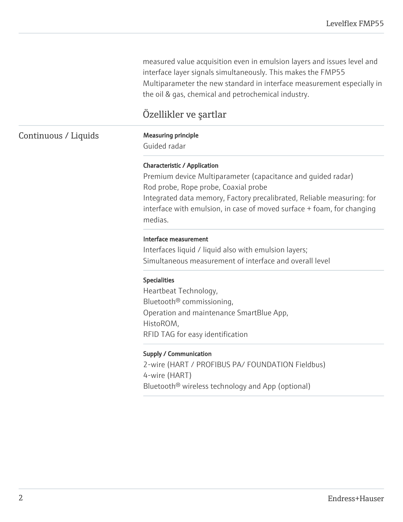measured value acquisition even in emulsion layers and issues level and interface layer signals simultaneously. This makes the FMP55 Multiparameter the new standard in interface measurement especially in the oil & gas, chemical and petrochemical industry.

### Özellikler ve şartlar

### Continuous / Liquids Measuring principle

Guided radar

### Characteristic / Application

Premium device Multiparameter (capacitance and guided radar) Rod probe, Rope probe, Coaxial probe Integrated data memory, Factory precalibrated, Reliable measuring: for interface with emulsion, in case of moved surface + foam, for changing medias.

#### Interface measurement

Interfaces liquid / liquid also with emulsion layers; Simultaneous measurement of interface and overall level

#### Specialities

Heartbeat Technology, Bluetooth® commissioning, Operation and maintenance SmartBlue App, HistoROM, RFID TAG for easy identification

#### Supply / Communication

2-wire (HART / PROFIBUS PA/ FOUNDATION Fieldbus) 4-wire (HART) Bluetooth® wireless technology and App (optional)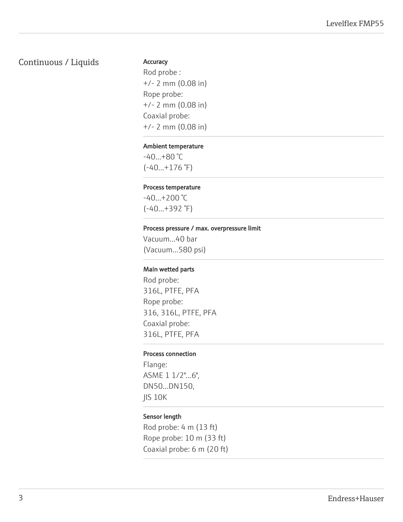### Continuous / Liquids

#### **Accuracy**

Rod probe : +/- 2 mm (0.08 in) Rope probe: +/- 2 mm (0.08 in) Coaxial probe: +/- 2 mm (0.08 in)

#### Ambient temperature

-40...+80 °C  $(-40...+176)$ °F)

#### Process temperature

 $-40...+200$  °C (-40...+392 °F)

#### Process pressure / max. overpressure limit

Vacuum...40 bar (Vacuum...580 psi)

#### Main wetted parts

Rod probe: 316L, PTFE, PFA Rope probe: 316, 316L, PTFE, PFA Coaxial probe: 316L, PTFE, PFA

#### Process connection

Flange: ASME 1 1/2"...6", DN50...DN150, JIS 10K

#### Sensor length

Rod probe: 4 m (13 ft) Rope probe: 10 m (33 ft) Coaxial probe: 6 m (20 ft)